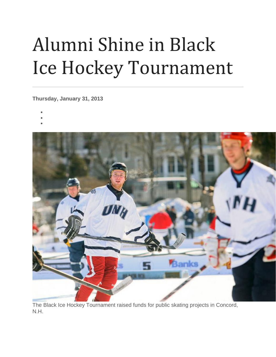## Alumni Shine in Black Ice Hockey Tournament

**Thursday, January 31, 2013**

- •
- •
- •



The Black Ice Hockey Tournament raised funds for public skating projects in Concord, N.H.